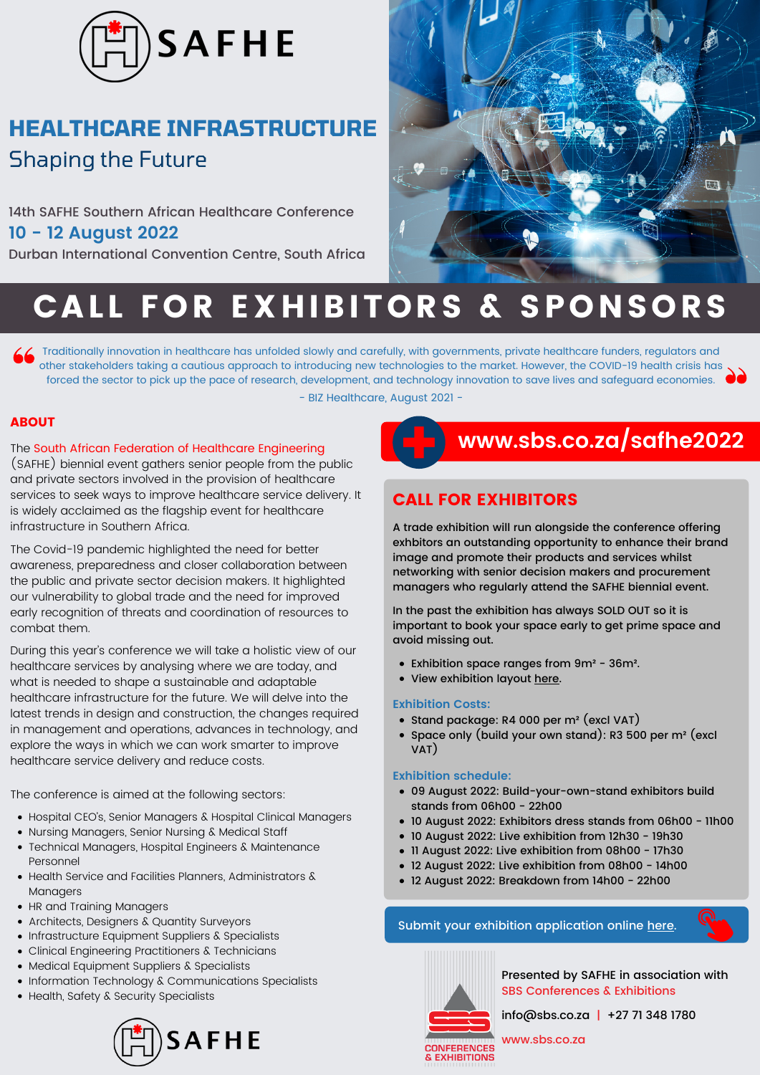

## **HEALTHCARE INFRASTRUCT** Shaping the Future

14th SAFHE Southern African Healthcare Conference **10 - 12 August 2022**

Durban International Convention Centre, South Africa



# CALL FOR EXHIBITORS & SPONSORS

Traditionally innovation in healthcare has unfolded slowly and carefully, with governments, private healthcare funders, regulators and other stakeholders taking a cautious approach to introducing new technologies to the market. However, the COVID-19 health crisis has forced the sector to pick up the pace of research, development, and technology innovation to save lives and safeguard economies.

- BIZ Healthcare, August 2021 -

#### ABOUT

#### The South African Federation of Healthcare [Engineering](http://www.safhe.co.za/)

(SAFHE) biennial event gathers senior people from the public and private sectors involved in the provision of healthcare services to seek ways to improve healthcare service delivery. It is widely acclaimed as the flagship event for healthcare infrastructure in Southern Africa.

The Covid-19 pandemic highlighted the need for better awareness, preparedness and closer collaboration between the public and private sector decision makers. It highlighted our vulnerability to global trade and the need for improved early recognition of threats and coordination of resources to combat them.

During this year's conference we will take a holistic view of our healthcare services by analysing where we are today, and what is needed to shape a sustainable and adaptable healthcare infrastructure for the future. We will delve into the latest trends in design and construction, the changes required in management and operations, advances in technology, and explore the ways in which we can work smarter to improve healthcare service delivery and reduce costs.

The conference is aimed at the following sectors:

- Hospital CEO's, Senior Managers & Hospital Clinical Managers
- Nursing Managers, Senior Nursing & Medical Staff
- Technical Managers, Hospital Engineers & Maintenance Personnel
- Health Service and Facilities Planners, Administrators & Managers
- HR and Training Managers
- Architects, Designers & Quantity Surveyors
- Infrastructure Equipment Suppliers & Specialists
- Clinical Engineering Practitioners & Technicians
- Medical Equipment Suppliers & Specialists
- Information Technology & Communications Specialists
- Health, Safety & Security Specialists



### **[www.sbs.co.za/safhe2022](https://sbs.co.za/safhe2022/)**

### CALL FOR EXHIBITORS

A trade exhibition will run alongside the conference offering exhbitors an outstanding opportunity to enhance their brand image and promote their products and services whilst networking with senior decision makers and procurement managers who regularly attend the SAFHE biennial event.

In the past the exhibition has always SOLD OUT so it is important to book your space early to get prime space and avoid missing out.

- Exhibition space ranges from 9m² 36m².
- View exhibition layout [here](https://sbs.co.za/safhe-2022-exhibition-floorplan/).

#### **Exhibition Costs:**

- Stand package: R4 000 per m<sup>2</sup> (excl VAT)
- Space only (build your own stand): R3 500 per m<sup>2</sup> (excl VAT)

#### **Exhibition schedule:**

- 09 August 2022: Build-your-own-stand exhibitors build stands from 06h00 - 22h00
- 10 August 2022: Exhibitors dress stands from 06h00 11h00
- 10 August 2022: Live exhibition from 12h30 19h30
- 11 August 2022: Live exhibition from 08h00 17h30
- 12 August 2022: Live exhibition from 08h00 14h00
- 12 August 2022: Breakdown from 14h00 22h00

#### Submit your exhibition [application](https://app.smartsheet.com/b/form/059e72a73e724739a9d162dbaaa1fa54) online [here.](https://app.smartsheet.com/b/form/059e72a73e724739a9d162dbaaa1fa54)



Presented by SAFHE in association with SBS [Conferences](https://sbs.co.za/) & Exhibitions

info@sbs.co.za | +27 71 348 1780

[www.sbs.co.za](https://sbs.co.za/) **CONFERENCES EXHIBITIONS**